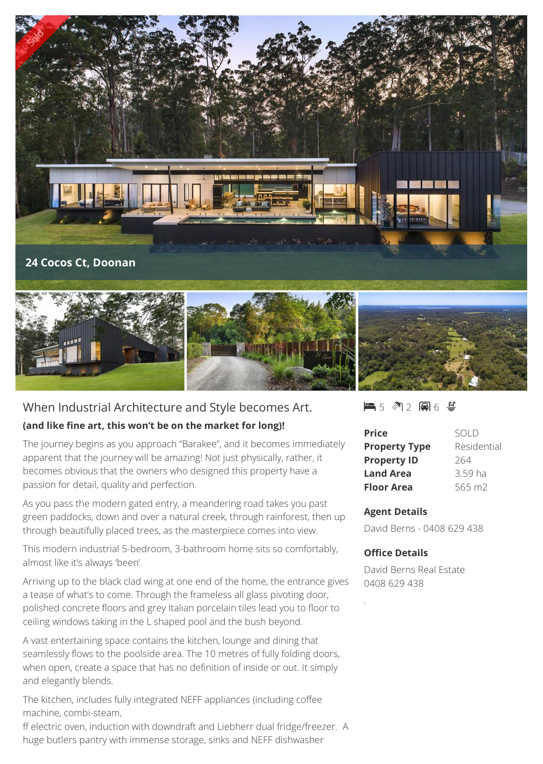



# When Industrial Architecture and Style becomes Art.

## **(and like fine art, this won't be on the market for long)!**

The journey begins as you approach "Barakee", and it becomes immediately apparent that the journey will be amazing! Not just physically, rather, it becomes obvious that the owners who designed this property have a passion for detail, quality and perfection.

As you pass the modern gated entry, a meandering road takes you past green paddocks, down and over a natural creek, through rainforest, then up through beautifully placed trees, as the masterpiece comes into view.

This modern industrial 5-bedroom, 3-bathroom home sits so comfortably, almost like it's always 'been'.

Arriving up to the black clad wing at one end of the home, the entrance gives a tease of what's to come. Through the frameless all glass pivoting door, polished concrete floors and grey Italian porcelain tiles lead you to floor to ceiling windows taking in the L shaped pool and the bush beyond.

A vast entertaining space contains the kitchen, lounge and dining that seamlessly flows to the poolside area. The 10 metres of fully folding doors, when open, create a space that has no definition of inside or out. It simply and elegantly blends.

The kitchen, includes fully integrated NEFF appliances (including coffee machine, combi-steam,

ff electric oven, induction with downdraft and Liebherr dual fridge/freezer. A huge butlers pantry with immense storage, sinks and NEFF dishwasher

### $-5$   $\sqrt[3]{2}$  and  $6$   $\sqrt[4]{3}$

| <b>Price</b>         | SOI D       |
|----------------------|-------------|
| <b>Property Type</b> | Residential |
| <b>Property ID</b>   | 264         |
| <b>Land Area</b>     | 3.59 ha     |
| <b>Floor Area</b>    | 565 m2      |

### **Agent Details**

David Berns - 0408 629 438

### **Office Details**

David Berns Real Estate 0408 629 438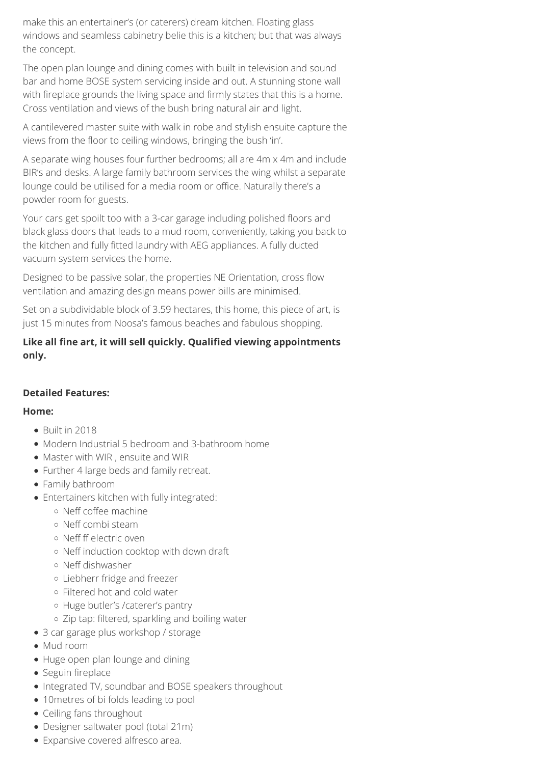make this an entertainer's (or caterers) dream kitchen. Floating glass windows and seamless cabinetry belie this is a kitchen; but that was always the concept.

The open plan lounge and dining comes with built in television and sound bar and home BOSE system servicing inside and out. A stunning stone wall with fireplace grounds the living space and firmly states that this is a home. Cross ventilation and views of the bush bring natural air and light.

A cantilevered master suite with walk in robe and stylish ensuite capture the views from the floor to ceiling windows, bringing the bush 'in'.

A separate wing houses four further bedrooms; all are 4m x 4m and include BIR's and desks. A large family bathroom services the wing whilst a separate lounge could be utilised for a media room or office. Naturally there's a powder room for guests.

Your cars get spoilt too with a 3-car garage including polished floors and black glass doors that leads to a mud room, conveniently, taking you back to the kitchen and fully fitted laundry with AEG appliances. A fully ducted vacuum system services the home.

Designed to be passive solar, the properties NE Orientation, cross flow ventilation and amazing design means power bills are minimised.

Set on a subdividable block of 3.59 hectares, this home, this piece of art, is just 15 minutes from Noosa's famous beaches and fabulous shopping.

## **Like all fine art, it will sell quickly. Qualified viewing appointments only.**

# **Detailed Features:**

## **Home:**

- Built in 2018
- Modern Industrial 5 bedroom and 3-bathroom home
- Master with WIR , ensuite and WIR
- Further 4 large beds and family retreat.
- Family bathroom
- Entertainers kitchen with fully integrated:
	- Neff coffee machine
	- o Neff combi steam
	- o Neff ff electric oven
	- Neff induction cooktop with down draft
	- Neff dishwasher
	- Liebherr fridge and freezer
	- Filtered hot and cold water
	- Huge butler's /caterer's pantry
	- Zip tap: filtered, sparkling and boiling water
- 3 car garage plus workshop / storage
- Mud room
- Huge open plan lounge and dining
- Seguin fireplace
- Integrated TV, soundbar and BOSE speakers throughout
- 10 metres of bi folds leading to pool
- Ceiling fans throughout
- Designer saltwater pool (total 21m)
- Expansive covered alfresco area.